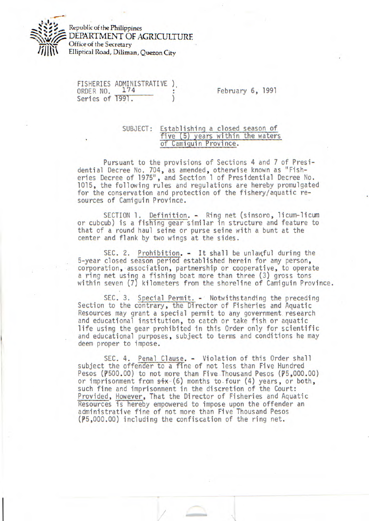

Republic of the Philippines DEPARTMENT OF *AGRICULTURE*  Office of the Secretary Elliptical Road, Diliman, Quezon City

FISHERIES ADMINISTRATIVE ).<br>ORDER NO. 174 Series of 1991.

February 6, 1991

## SUBJECT: Establishing a closed season of five (5) years within the waters of Camiguin Province.

Pursuant to the provisions of Sections 4 and 7 of Presidential Decree No. 704, as amended, otherwise known as "Fisheries Decree of 1975", and Section 1 of Presidential Decree No. 1015, the following rules and regulations are hereby promulgated for the conservation and protection of the fishery/aquatic resources of Camiguin Province.

SECTION 1. Definition. - Ring net (sinsoro, licum-licum or cubcub) is a fishing gear similar in structure and feature to that of a round haul seine or purse seine with a bunt at the center and flank by two wings at the sides.

SEC. 2. Prohibition. - It shall be unlawful during the 5-year closed season period established herein for any person, corporation, association, partnership or cooperative, to operate a ring net using a fishing boat more than three (3) gross tons within seven (7) kilometers from the shoreline of Camiguin Province.

SEC. 3. Special Permit. - Notwithstanding the preceding Section to the contrary, the Director of Fisheries and Aquatic Resources may grant a special permit to any government research and educational institution, to catch or take fish or aquatic life using the gear prohibited in this Order only for scientific and educational purposes, subject to terms and conditions he may deem proper to impose.

SEC. 4. Penal Clause. - Violation of this Order shall subject the offender to a fine of not less than Five Hundred Pesos ( $\overline{p}$ 500.00) to not more than Five Thousand Pesos ( $\overline{p}$ 5,000.00) or imprisonment from  $s\dot{t}x$  (6) months to four (4) years, or both, such fine and imprisonment in the discretion of the Court: Provided, However, That the Director of Fisheries and Aquatic Resources is hereby empowered to impose upon the offender an administrative fine of not more than Five Thousand Pesos  $($ p5,000.00) including the confiscation of the ring net.